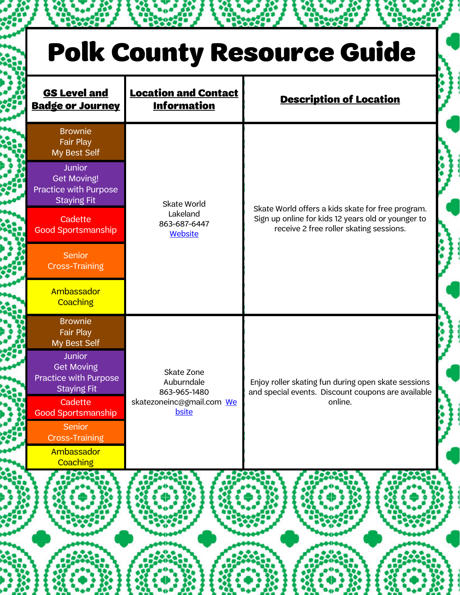## Polk County Resource Guide

| <b>GS Level and</b><br><b>Badge or Journey</b>                                           | <b>Location and Contact</b><br><b>Information</b> | <b>Description of Location</b>                                                                                                                     |  |
|------------------------------------------------------------------------------------------|---------------------------------------------------|----------------------------------------------------------------------------------------------------------------------------------------------------|--|
| <b>Brownie</b><br><b>Fair Play</b><br>My Best Self                                       |                                                   |                                                                                                                                                    |  |
| <b>Junior</b><br><b>Get Moving!</b><br>Practice with Purpose<br><b>Staying Fit</b>       | Skate World                                       |                                                                                                                                                    |  |
| Cadette<br><b>Good Sportsmanship</b>                                                     | Lakeland<br>863-687-6447<br>Website               | Skate World offers a kids skate for free program.<br>Sign up online for kids 12 years old or younger to<br>receive 2 free roller skating sessions. |  |
| <b>Senior</b><br><b>Cross-Training</b>                                                   |                                                   |                                                                                                                                                    |  |
| Ambassador<br><b>Coaching</b>                                                            |                                                   |                                                                                                                                                    |  |
| <b>Brownie</b><br>Fair Play<br>My Best Self                                              |                                                   |                                                                                                                                                    |  |
| <b>Junior</b><br><b>Get Moving</b><br><b>Practice with Purpose</b><br><b>Staying Fit</b> | Skate Zone<br>Auburndale<br>863-965-1480          | Enjoy roller skating fun during open skate sessions<br>and special events. Discount coupons are available                                          |  |
| Cadette<br><b>Good Sportsmanship</b><br><b>Senior</b>                                    | skatezoneinc@gmail.com We<br>bsite                | online.                                                                                                                                            |  |
| <b>Cross-Training</b><br>Ambassador<br>Coaching                                          |                                                   |                                                                                                                                                    |  |
|                                                                                          |                                                   |                                                                                                                                                    |  |
|                                                                                          |                                                   |                                                                                                                                                    |  |
|                                                                                          |                                                   |                                                                                                                                                    |  |
|                                                                                          |                                                   |                                                                                                                                                    |  |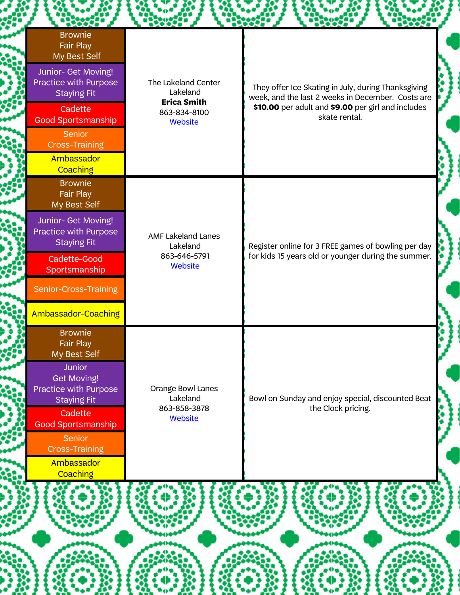| Brownie<br><b>Fair Play</b><br>My Best Self                                               |                                          |                                    |               |                                                                                                                                                                                                                                                                                                                                                         |
|-------------------------------------------------------------------------------------------|------------------------------------------|------------------------------------|---------------|---------------------------------------------------------------------------------------------------------------------------------------------------------------------------------------------------------------------------------------------------------------------------------------------------------------------------------------------------------|
| Junior- Get Moving!<br>Practice with Purpose<br><b>Staying Fit</b>                        | The Lakeland Center<br>Lakeland          |                                    |               |                                                                                                                                                                                                                                                                                                                                                         |
| Cadette<br><b>Good Sportsmanship</b><br>Senior                                            | 863-834-8100<br><b>Website</b>           |                                    | skate rental. |                                                                                                                                                                                                                                                                                                                                                         |
| <b>Cross-Training</b><br>Ambassador                                                       |                                          |                                    |               |                                                                                                                                                                                                                                                                                                                                                         |
| <b>Brownie</b><br>Fair Play<br>My Best Self                                               |                                          |                                    |               |                                                                                                                                                                                                                                                                                                                                                         |
| Junior- Get Moving!<br>Practice with Purpose<br><b>Staying Fit</b>                        | <b>AMF Lakeland Lanes</b><br>Lakeland    |                                    |               |                                                                                                                                                                                                                                                                                                                                                         |
| Cadette-Good<br>Sportsmanship                                                             | 863-646-5791<br><b>Website</b>           |                                    |               |                                                                                                                                                                                                                                                                                                                                                         |
| Senior-Cross-Training                                                                     |                                          |                                    |               |                                                                                                                                                                                                                                                                                                                                                         |
| Ambassador-Coaching                                                                       |                                          |                                    |               |                                                                                                                                                                                                                                                                                                                                                         |
| <b>Brownie</b><br><b>Fair Play</b><br>My Best Self                                        |                                          |                                    |               |                                                                                                                                                                                                                                                                                                                                                         |
| <b>Junior</b><br><b>Get Moving!</b><br><b>Practice with Purpose</b><br><b>Staying Fit</b> | Orange Bowl Lanes<br>Lakeland            |                                    |               |                                                                                                                                                                                                                                                                                                                                                         |
| Cadette<br><b>Good Sportsmanship</b><br><b>Senior</b>                                     | <b>Website</b>                           |                                    |               |                                                                                                                                                                                                                                                                                                                                                         |
| Ambassador<br><b>Coaching</b>                                                             |                                          |                                    |               |                                                                                                                                                                                                                                                                                                                                                         |
|                                                                                           |                                          |                                    |               |                                                                                                                                                                                                                                                                                                                                                         |
|                                                                                           | <b>Coaching</b><br><b>Cross-Training</b> | <b>Erica Smith</b><br>863-858-3878 |               | They offer Ice Skating in July, during Thanksgiving<br>week, and the last 2 weeks in December. Costs are<br>\$10.00 per adult and \$9.00 per girl and includes<br>Register online for 3 FREE games of bowling per day<br>for kids 15 years old or younger during the summer.<br>Bowl on Sunday and enjoy special, discounted Beat<br>the Clock pricing. |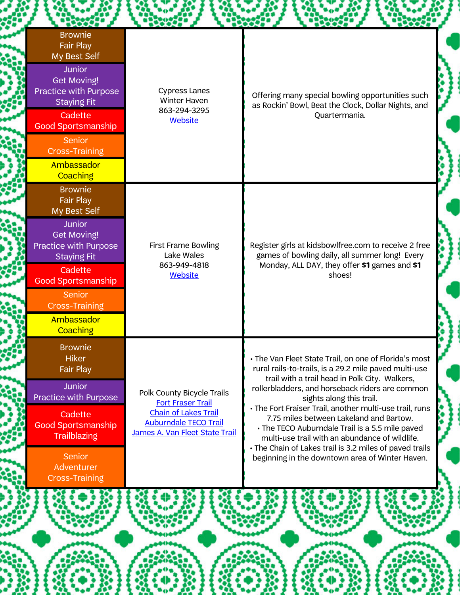| HOOOP                                                                                                                                                                                                                                                |                                                                                                                                                         |                                                                                                                                                                                                                                                                                                                                                                                                                                                                                                                                                                          |
|------------------------------------------------------------------------------------------------------------------------------------------------------------------------------------------------------------------------------------------------------|---------------------------------------------------------------------------------------------------------------------------------------------------------|--------------------------------------------------------------------------------------------------------------------------------------------------------------------------------------------------------------------------------------------------------------------------------------------------------------------------------------------------------------------------------------------------------------------------------------------------------------------------------------------------------------------------------------------------------------------------|
| <b>Brownie</b><br><b>Fair Play</b><br>My Best Self<br><b>Junior</b><br><b>Get Moving!</b><br>Practice with Purpose<br><b>Staying Fit</b><br>Cadette<br><b>Good Sportsmanship</b><br><b>Senior</b><br><b>Cross-Training</b><br>Ambassador<br>Coaching | <b>Cypress Lanes</b><br><b>Winter Haven</b><br>863-294-3295<br><b>Website</b>                                                                           | Offering many special bowling opportunities such<br>as Rockin' Bowl, Beat the Clock, Dollar Nights, and<br>Quartermania.                                                                                                                                                                                                                                                                                                                                                                                                                                                 |
| <b>Brownie</b><br>Fair Play<br>My Best Self<br><b>Junior</b><br><b>Get Moving!</b><br>Practice with Purpose<br><b>Staying Fit</b><br>Cadette<br><b>Good Sportsmanship</b><br>Senior<br><b>Cross-Training</b><br>Ambassador<br><b>Coaching</b>        | <b>First Frame Bowling</b><br>Lake Wales<br>863-949-4818<br><b>Website</b>                                                                              | Register girls at kidsbowlfree.com to receive 2 free<br>games of bowling daily, all summer long! Every<br>Monday, ALL DAY, they offer \$1 games and \$1<br>shoes!                                                                                                                                                                                                                                                                                                                                                                                                        |
| <b>Brownie</b><br><b>Hiker</b><br>Fair Play<br><b>Junior</b><br>Practice with Purpose<br>Cadette<br><b>Good Sportsmanship</b><br><b>Trailblazing</b><br>Senior<br>Adventurer<br><b>Cross-Training</b>                                                | Polk County Bicycle Trails<br><b>Fort Fraser Trail</b><br><b>Chain of Lakes Trail</b><br><b>Auburndale TECO Trail</b><br>James A. Van Fleet State Trail | · The Van Fleet State Trail, on one of Florida's most<br>rural rails-to-trails, is a 29.2 mile paved multi-use<br>trail with a trail head in Polk City. Walkers,<br>rollerbladders, and horseback riders are common<br>sights along this trail.<br>· The Fort Fraiser Trail, another multi-use trail, runs<br>7.75 miles between Lakeland and Bartow.<br>· The TECO Auburndale Trail is a 5.5 mile paved<br>multi-use trail with an abundance of wildlife.<br>· The Chain of Lakes trail is 3.2 miles of paved trails<br>beginning in the downtown area of Winter Haven. |
|                                                                                                                                                                                                                                                      |                                                                                                                                                         |                                                                                                                                                                                                                                                                                                                                                                                                                                                                                                                                                                          |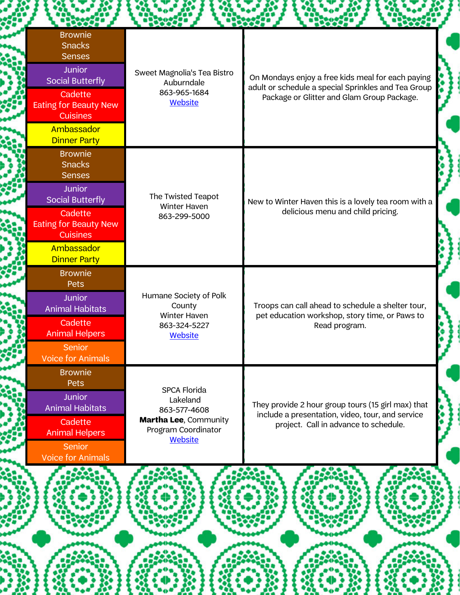| numun                                                                                                                                                                                           |                                                                                                                          |                                                                                                                                                        |  |
|-------------------------------------------------------------------------------------------------------------------------------------------------------------------------------------------------|--------------------------------------------------------------------------------------------------------------------------|--------------------------------------------------------------------------------------------------------------------------------------------------------|--|
| <b>Brownie</b><br><b>Snacks</b><br><b>Senses</b><br><b>Junior</b><br><b>Social Butterfly</b><br>Cadette<br><b>Eating for Beauty New</b><br><b>Cuisines</b><br>Ambassador<br><b>Dinner Party</b> | Sweet Magnolia's Tea Bistro<br>Auburndale<br>863-965-1684<br><b>Website</b>                                              | On Mondays enjoy a free kids meal for each paying<br>adult or schedule a special Sprinkles and Tea Group<br>Package or Glitter and Glam Group Package. |  |
| <b>Brownie</b><br><b>Snacks</b><br><b>Senses</b><br><b>Junior</b><br><b>Social Butterfly</b><br>Cadette<br><b>Eating for Beauty New</b><br><b>Cuisines</b><br>Ambassador<br><b>Dinner Party</b> | The Twisted Teapot<br><b>Winter Haven</b><br>863-299-5000                                                                | New to Winter Haven this is a lovely tea room with a<br>delicious menu and child pricing.                                                              |  |
| <b>Brownie</b><br>Pets<br><b>Junior</b><br><b>Animal Habitats</b><br>Cadette<br><b>Animal Helpers</b><br><b>Senior</b><br><b>Voice for Animals</b>                                              | Humane Society of Polk<br>County<br>Winter Haven<br>863-324-5227<br><b>Website</b>                                       | Troops can call ahead to schedule a shelter tour,<br>pet education workshop, story time, or Paws to<br>Read program.                                   |  |
| <b>Brownie</b><br>Pets<br><b>Junior</b><br><b>Animal Habitats</b><br>Cadette<br><b>Animal Helpers</b><br><b>Senior</b><br><b>Voice for Animals</b>                                              | <b>SPCA Florida</b><br>Lakeland<br>863-577-4608<br><b>Martha Lee, Community</b><br>Program Coordinator<br><b>Website</b> | They provide 2 hour group tours (15 girl max) that<br>include a presentation, video, tour, and service<br>project. Call in advance to schedule.        |  |
|                                                                                                                                                                                                 |                                                                                                                          |                                                                                                                                                        |  |
|                                                                                                                                                                                                 |                                                                                                                          |                                                                                                                                                        |  |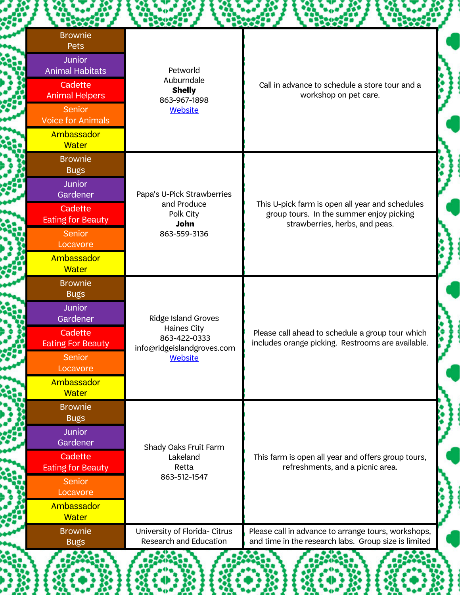| <b>Brownie</b><br>Pets<br><b>Junior</b> |                                                               |                                                                                                       |  |
|-----------------------------------------|---------------------------------------------------------------|-------------------------------------------------------------------------------------------------------|--|
| <b>Animal Habitats</b>                  | Petworld                                                      |                                                                                                       |  |
| Cadette<br><b>Animal Helpers</b>        | Auburndale<br><b>Shelly</b><br>863-967-1898<br><b>Website</b> | Call in advance to schedule a store tour and a<br>workshop on pet care.                               |  |
| Senior                                  |                                                               |                                                                                                       |  |
| <b>Voice for Animals</b>                |                                                               |                                                                                                       |  |
| Ambassador<br><b>Water</b>              |                                                               |                                                                                                       |  |
| <b>Brownie</b><br><b>Bugs</b>           |                                                               |                                                                                                       |  |
| Junior<br>Gardener                      | Papa's U-Pick Strawberries                                    |                                                                                                       |  |
| Cadette<br><b>Eating for Beauty</b>     | and Produce<br>Polk City<br>John                              | This U-pick farm is open all year and schedules<br>group tours. In the summer enjoy picking           |  |
| Senior<br>Locavore                      | 863-559-3136                                                  | strawberries, herbs, and peas.                                                                        |  |
| Ambassador<br><b>Water</b>              |                                                               |                                                                                                       |  |
| <b>Brownie</b><br><b>Bugs</b>           |                                                               |                                                                                                       |  |
| <b>Junior</b><br>Gardener               | Ridge Island Groves                                           |                                                                                                       |  |
| Cadette<br><b>Eating For Beauty</b>     | <b>Haines City</b><br>863-422-0333                            | Please call ahead to schedule a group tour which<br>includes orange picking. Restrooms are available. |  |
| <b>Senior</b><br>Locavore               | info@ridgeislandgroves.com<br><b>Website</b>                  |                                                                                                       |  |
| Ambassador<br><b>Water</b>              |                                                               |                                                                                                       |  |
| <b>Brownie</b><br><b>Bugs</b>           |                                                               |                                                                                                       |  |
| <b>Junior</b><br>Gardener               |                                                               |                                                                                                       |  |
| Cadette<br><b>Eating for Beauty</b>     | Shady Oaks Fruit Farm<br>Lakeland<br>Retta                    | This farm is open all year and offers group tours,<br>refreshments, and a picnic area.                |  |
| Senior                                  | 863-512-1547                                                  |                                                                                                       |  |
| Locavore<br>Ambassador                  |                                                               |                                                                                                       |  |
| <b>Water</b><br><b>Brownie</b>          | University of Florida- Citrus                                 | Please call in advance to arrange tours, workshops,                                                   |  |
| <b>Bugs</b>                             | Research and Education                                        | and time in the research labs. Group size is limited                                                  |  |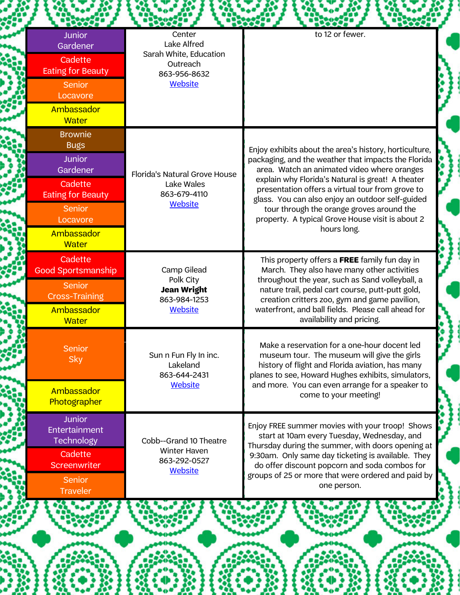| <b>Junior</b><br>Gardener<br>Cadette<br><b>Eating for Beauty</b><br><b>Senior</b><br>Locavore<br>Ambassador<br><b>Water</b><br><b>Brownie</b><br><b>Bugs</b><br><b>Junior</b><br>Gardener<br>Cadette | Center<br>Lake Alfred<br>Sarah White, Education<br>Outreach<br>863-956-8632<br>Website | to 12 or fewer.                                                                                                                                                                                                                                                                                                                                                                                                                           |
|------------------------------------------------------------------------------------------------------------------------------------------------------------------------------------------------------|----------------------------------------------------------------------------------------|-------------------------------------------------------------------------------------------------------------------------------------------------------------------------------------------------------------------------------------------------------------------------------------------------------------------------------------------------------------------------------------------------------------------------------------------|
|                                                                                                                                                                                                      |                                                                                        |                                                                                                                                                                                                                                                                                                                                                                                                                                           |
| <b>Eating for Beauty</b><br>Senior<br>Locavore<br>Ambassador<br><b>Water</b>                                                                                                                         | Florida's Natural Grove House<br>Lake Wales<br>863-679-4110<br><b>Website</b>          | Enjoy exhibits about the area's history, horticulture,<br>packaging, and the weather that impacts the Florida<br>area. Watch an animated video where oranges<br>explain why Florida's Natural is great! A theater<br>presentation offers a virtual tour from grove to<br>glass. You can also enjoy an outdoor self-guided<br>tour through the orange groves around the<br>property. A typical Grove House visit is about 2<br>hours long. |
| Cadette<br><b>Good Sportsmanship</b><br><b>Senior</b><br><b>Cross-Training</b><br>Ambassador<br><b>Water</b>                                                                                         | Camp Gilead<br>Polk City<br><b>Jean Wright</b><br>863-984-1253<br><b>Website</b>       | This property offers a FREE family fun day in<br>March. They also have many other activities<br>throughout the year, such as Sand volleyball, a<br>nature trail, pedal cart course, putt-putt gold,<br>creation critters zoo, gym and game pavilion,<br>waterfront, and ball fields. Please call ahead for<br>availability and pricing.                                                                                                   |
| <b>Senior</b><br><b>Sky</b><br>Ambassador<br>Photographer                                                                                                                                            | Sun n Fun Fly in Inc.<br>Lakeland<br>863-644-2431<br><b>Website</b>                    | Make a reservation for a one-hour docent led<br>museum tour. The museum will give the girls<br>history of flight and Florida aviation, has many<br>planes to see, Howard Hughes exhibits, simulators,<br>and more. You can even arrange for a speaker to<br>come to your meeting!                                                                                                                                                         |
| <b>Junior</b><br>Entertainment<br>Technology<br>Cadette<br>Screenwriter<br><b>Senior</b><br><b>Traveler</b>                                                                                          | Cobb--Grand 10 Theatre<br><b>Winter Haven</b><br>863-292-0527<br><b>Website</b>        | Enjoy FREE summer movies with your troop! Shows<br>start at 10am every Tuesday, Wednesday, and<br>Thursday during the summer, with doors opening at<br>9:30am. Only same day ticketing is available. They<br>do offer discount popcorn and soda combos for<br>groups of 25 or more that were ordered and paid by<br>one person.                                                                                                           |
|                                                                                                                                                                                                      |                                                                                        |                                                                                                                                                                                                                                                                                                                                                                                                                                           |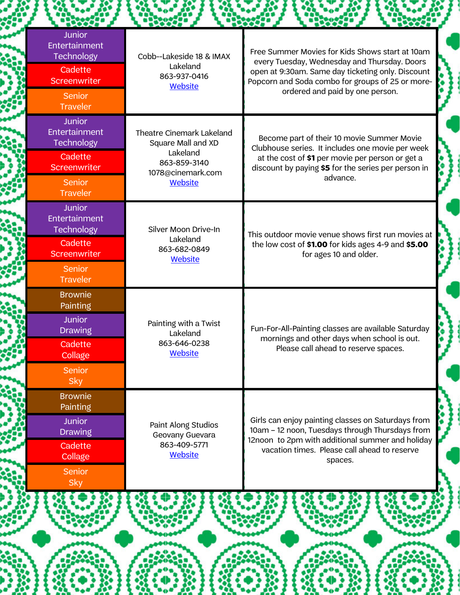| <b>BOOT</b>                                                                                                 |                                                                                                                    | root                                                                                                                                                                                                                                        |
|-------------------------------------------------------------------------------------------------------------|--------------------------------------------------------------------------------------------------------------------|---------------------------------------------------------------------------------------------------------------------------------------------------------------------------------------------------------------------------------------------|
| Junior<br>Entertainment<br>Technology<br>Cadette<br><b>Screenwriter</b><br><b>Senior</b><br><b>Traveler</b> | Cobb--Lakeside 18 & IMAX<br>Lakeland<br>863-937-0416<br><b>Website</b>                                             | Free Summer Movies for Kids Shows start at 10am<br>every Tuesday, Wednesday and Thursday. Doors<br>open at 9:30am. Same day ticketing only. Discount<br>Popcorn and Soda combo for groups of 25 or more-<br>ordered and paid by one person. |
| <b>Junior</b><br>Entertainment<br>Technology<br>Cadette<br>Screenwriter<br><b>Senior</b><br><b>Traveler</b> | <b>Theatre Cinemark Lakeland</b><br>Square Mall and XD<br>Lakeland<br>863-859-3140<br>1078@cinemark.com<br>Website | Become part of their 10 movie Summer Movie<br>Clubhouse series. It includes one movie per week<br>at the cost of \$1 per movie per person or get a<br>discount by paying \$5 for the series per person in<br>advance.                       |
| <b>Junior</b><br>Entertainment<br>Technology<br>Cadette<br><b>Screenwriter</b><br>Senior<br><b>Traveler</b> | Silver Moon Drive-In<br>Lakeland<br>863-682-0849<br>Website                                                        | This outdoor movie venue shows first run movies at<br>the low cost of \$1.00 for kids ages 4-9 and \$5.00<br>for ages 10 and older.                                                                                                         |
| <b>Brownie</b><br>Painting<br>Junior<br><b>Drawing</b><br>Cadette<br>Collage<br><b>Senior</b><br><b>Sky</b> | Painting with a Twist<br>Lakeland<br>863-646-0238<br>Website                                                       | Fun-For-All-Painting classes are available Saturday<br>mornings and other days when school is out.<br>Please call ahead to reserve spaces.                                                                                                  |
| <b>Brownie</b><br>Painting<br>Junior<br><b>Drawing</b><br>Cadette<br>Collage<br><b>Senior</b><br><b>Sky</b> | Paint Along Studios<br>Geovany Guevara<br>863-409-5771<br>Website                                                  | Girls can enjoy painting classes on Saturdays from<br>10am - 12 noon, Tuesdays through Thursdays from<br>12noon to 2pm with additional summer and holiday<br>vacation times. Please call ahead to reserve<br>spaces.                        |
|                                                                                                             |                                                                                                                    |                                                                                                                                                                                                                                             |
|                                                                                                             |                                                                                                                    |                                                                                                                                                                                                                                             |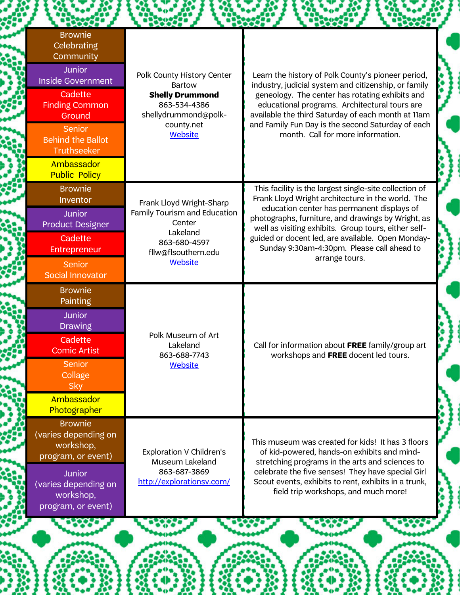| <b>Brownie</b><br>Celebrating<br>Community<br><b>Junior</b><br><b>Inside Government</b><br>Cadette<br><b>Finding Common</b><br>Ground<br><b>Senior</b><br><b>Behind the Ballot</b><br>Truthseeker | Polk County History Center<br><b>Bartow</b><br><b>Shelly Drummond</b><br>863-534-4386<br>shellydrummond@polk-<br>county.net<br><b>Website</b> | Learn the history of Polk County's pioneer period,<br>industry, judicial system and citizenship, or family<br>geneology. The center has rotating exhibits and<br>educational programs. Architectural tours are<br>available the third Saturday of each month at 11am<br>and Family Fun Day is the second Saturday of each<br>month. Call for more information.                               |
|---------------------------------------------------------------------------------------------------------------------------------------------------------------------------------------------------|-----------------------------------------------------------------------------------------------------------------------------------------------|----------------------------------------------------------------------------------------------------------------------------------------------------------------------------------------------------------------------------------------------------------------------------------------------------------------------------------------------------------------------------------------------|
| Ambassador<br><b>Public Policy</b>                                                                                                                                                                |                                                                                                                                               |                                                                                                                                                                                                                                                                                                                                                                                              |
| <b>Brownie</b><br>Inventor<br><b>Junior</b><br><b>Product Designer</b><br>Cadette<br>Entrepreneur<br><b>Senior</b><br><b>Social Innovator</b>                                                     | Frank Lloyd Wright-Sharp<br>Family Tourism and Education<br>Center<br>Lakeland<br>863-680-4597<br>fllw@flsouthern.edu<br><b>Website</b>       | This facility is the largest single-site collection of<br>Frank Lloyd Wright architecture in the world. The<br>education center has permanent displays of<br>photographs, furniture, and drawings by Wright, as<br>well as visiting exhibits. Group tours, either self-<br>guided or docent led, are available. Open Monday-<br>Sunday 9:30am-4:30pm. Please call ahead to<br>arrange tours. |
| <b>Brownie</b><br>Painting<br><b>Junior</b><br><b>Drawing</b><br>Cadette<br><b>Comic Artist</b><br><b>Senior</b><br><b>Collage</b><br><b>Sky</b><br>Ambassador<br>Photographer                    | Polk Museum of Art<br>Lakeland<br>863-688-7743<br><b>Website</b>                                                                              | Call for information about FREE family/group art<br>workshops and FREE docent led tours.                                                                                                                                                                                                                                                                                                     |
| <b>Brownie</b><br>(varies depending on<br>workshop,<br>program, or event)<br>Junior<br>(varies depending on<br>workshop,<br>program, or event)                                                    | <b>Exploration V Children's</b><br>Museum Lakeland<br>863-687-3869<br>http://explorationsv.com/                                               | This museum was created for kids! It has 3 floors<br>of kid-powered, hands-on exhibits and mind-<br>stretching programs in the arts and sciences to<br>celebrate the five senses! They have special Girl<br>Scout events, exhibits to rent, exhibits in a trunk,<br>field trip workshops, and much more!                                                                                     |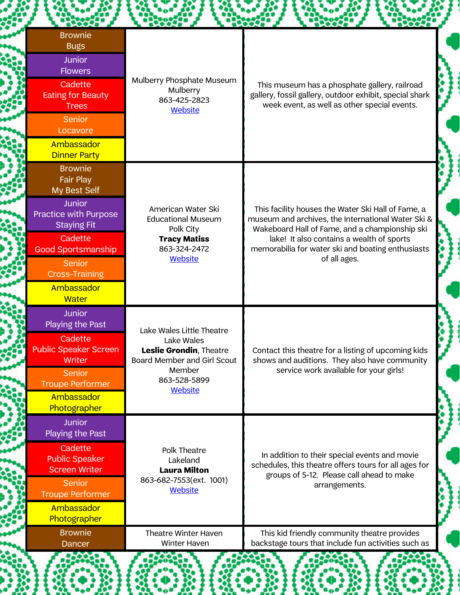| <b>Roog</b>                                                                                                                                                                                           |                                                                                                                                                                                                                                                                                                                                                                                                                                                                                           | <b>HOOGH A</b><br><b>POCCO</b><br><b>POYYOM</b>                                                                                                                                                                                                                              |
|-------------------------------------------------------------------------------------------------------------------------------------------------------------------------------------------------------|-------------------------------------------------------------------------------------------------------------------------------------------------------------------------------------------------------------------------------------------------------------------------------------------------------------------------------------------------------------------------------------------------------------------------------------------------------------------------------------------|------------------------------------------------------------------------------------------------------------------------------------------------------------------------------------------------------------------------------------------------------------------------------|
| <b>Brownie</b><br><b>Bugs</b><br>Junior<br><b>Flowers</b><br>Cadette<br><b>Eating for Beauty</b><br><b>Trees</b><br><b>Senior</b><br>Locavore<br>Ambassador<br><b>Dinner Party</b>                    | <b>POOCH</b><br>Mulberry Phosphate Museum<br>Mulberry<br>863-425-2823<br><b>Website</b><br>American Water Ski<br><b>Educational Museum</b><br>Polk City<br><b>Tracy Matiss</b><br>863-324-2472<br>Website<br>Lake Wales Little Theatre<br>Lake Wales<br>Leslie Grondin, Theatre<br><b>Board Member and Girl Scout</b><br>Member<br>863-528-5899<br><b>Website</b><br>Polk Theatre<br>Lakeland<br><b>Laura Milton</b><br>863-682-7553(ext. 1001)<br><b>Website</b><br>Theatre Winter Haven | This museum has a phosphate gallery, railroad<br>gallery, fossil gallery, outdoor exhibit, special shark<br>week event, as well as other special events.                                                                                                                     |
| <b>Brownie</b><br><b>Fair Play</b><br>My Best Self<br><b>Junior</b><br><b>Practice with Purpose</b><br><b>Staying Fit</b><br>Cadette<br><b>Good Sportsmanship</b><br>Senior<br><b>Cross-Training</b>  |                                                                                                                                                                                                                                                                                                                                                                                                                                                                                           | This facility houses the Water Ski Hall of Fame, a<br>museum and archives, the International Water Ski &<br>Wakeboard Hall of Fame, and a championship ski<br>lake! It also contains a wealth of sports<br>memorabilia for water ski and boating enthusiasts<br>of all ages. |
| Ambassador<br><b>Water</b><br><b>Junior</b><br><b>Playing the Past</b><br>Cadette<br><b>Public Speaker Screen</b><br>Writer<br><b>Senior</b><br><b>Troupe Performer</b><br>Ambassador<br>Photographer |                                                                                                                                                                                                                                                                                                                                                                                                                                                                                           | Contact this theatre for a listing of upcoming kids<br>shows and auditions. They also have community<br>service work available for your girls!                                                                                                                               |
| <b>Junior</b><br>Playing the Past<br>Cadette<br><b>Public Speaker</b><br><b>Screen Writer</b><br>Senior<br><b>Troupe Performer</b><br>Ambassador<br>Photographer                                      |                                                                                                                                                                                                                                                                                                                                                                                                                                                                                           | In addition to their special events and movie<br>schedules, this theatre offers tours for all ages for<br>groups of 5-12. Please call ahead to make<br>arrangements.                                                                                                         |
| <b>Brownie</b><br><b>Dancer</b>                                                                                                                                                                       | Winter Haven                                                                                                                                                                                                                                                                                                                                                                                                                                                                              | This kid friendly community theatre provides<br>backstage tours that include fun activities such as                                                                                                                                                                          |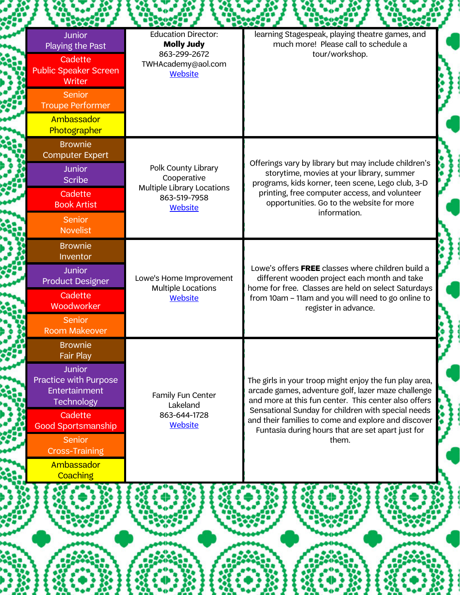| HXXX                                                                                                                                                                                                                    |                                                                                                         | HXXX<br><b>POOP</b>                                                                                                                                                                                                                                                                                                                             |
|-------------------------------------------------------------------------------------------------------------------------------------------------------------------------------------------------------------------------|---------------------------------------------------------------------------------------------------------|-------------------------------------------------------------------------------------------------------------------------------------------------------------------------------------------------------------------------------------------------------------------------------------------------------------------------------------------------|
| <b>Junior</b><br>Playing the Past<br>Cadette<br><b>Public Speaker Screen</b><br>Writer<br><b>Senior</b><br><b>Troupe Performer</b><br>Ambassador<br>Photographer                                                        | <b>Education Director:</b><br><b>Molly Judy</b><br>863-299-2672<br>TWHAcademy@aol.com<br><b>Website</b> | learning Stagespeak, playing theatre games, and<br>much more! Please call to schedule a<br>tour/workshop.                                                                                                                                                                                                                                       |
| <b>Brownie</b><br><b>Computer Expert</b><br><b>Junior</b><br><b>Scribe</b><br>Cadette<br><b>Book Artist</b><br>Senior<br><b>Novelist</b>                                                                                | Polk County Library<br>Cooperative<br>Multiple Library Locations<br>863-519-7958<br>Website             | Offerings vary by library but may include children's<br>storytime, movies at your library, summer<br>programs, kids korner, teen scene, Lego club, 3-D<br>printing, free computer access, and volunteer<br>opportunities. Go to the website for more<br>information.                                                                            |
| <b>Brownie</b><br>Inventor<br><b>Junior</b><br><b>Product Designer</b><br>Cadette<br>Woodworker<br><b>Senior</b><br><b>Room Makeover</b>                                                                                | Lowe's Home Improvement<br><b>Multiple Locations</b><br>Website                                         | Lowe's offers FREE classes where children build a<br>different wooden project each month and take<br>home for free. Classes are held on select Saturdays<br>from 10am - 11am and you will need to go online to<br>register in advance.                                                                                                          |
| <b>Brownie</b><br><b>Fair Play</b><br><b>Junior</b><br>Practice with Purpose<br>Entertainment<br>Technology<br>Cadette<br><b>Good Sportsmanship</b><br><b>Senior</b><br><b>Cross-Training</b><br>Ambassador<br>Coaching | Family Fun Center<br>Lakeland<br>863-644-1728<br><b>Website</b>                                         | The girls in your troop might enjoy the fun play area,<br>arcade games, adventure golf, lazer maze challenge<br>and more at this fun center. This center also offers<br>Sensational Sunday for children with special needs<br>and their families to come and explore and discover<br>Funtasia during hours that are set apart just for<br>them. |
|                                                                                                                                                                                                                         |                                                                                                         |                                                                                                                                                                                                                                                                                                                                                 |
|                                                                                                                                                                                                                         |                                                                                                         |                                                                                                                                                                                                                                                                                                                                                 |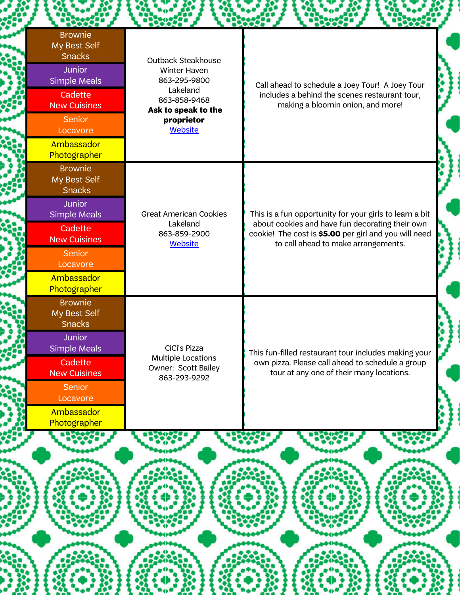| <b>Brownie</b><br>My Best Self<br><b>Snacks</b><br><b>Junior</b><br><b>Simple Meals</b><br>Cadette<br><b>New Cuisines</b><br><b>Senior</b><br>Locavore<br>Ambassador<br>Photographer | <b>Outback Steakhouse</b><br>Winter Haven<br>863-295-9800<br>Lakeland<br>863-858-9468<br>Ask to speak to the<br>proprietor<br><b>Website</b> | Call ahead to schedule a Joey Tour! A Joey Tour<br>includes a behind the scenes restaurant tour,<br>making a bloomin onion, and more!                                                                      |
|--------------------------------------------------------------------------------------------------------------------------------------------------------------------------------------|----------------------------------------------------------------------------------------------------------------------------------------------|------------------------------------------------------------------------------------------------------------------------------------------------------------------------------------------------------------|
| <b>Brownie</b><br>My Best Self<br><b>Snacks</b><br><b>Junior</b><br><b>Simple Meals</b><br>Cadette<br><b>New Cuisines</b><br><b>Senior</b><br>Locavore<br>Ambassador<br>Photographer | <b>Great American Cookies</b><br>Lakeland<br>863-859-2900<br><b>Website</b>                                                                  | This is a fun opportunity for your girls to learn a bit<br>about cookies and have fun decorating their own<br>cookie! The cost is \$5.00 per girl and you will need<br>to call ahead to make arrangements. |
| <b>Brownie</b><br>My Best Self<br><b>Snacks</b><br><b>Junior</b><br><b>Simple Meals</b><br>Cadette<br><b>New Cuisines</b><br>Senior<br>Locavore<br>Ambassador<br>Photographer        | CiCi's Pizza<br><b>Multiple Locations</b><br>Owner: Scott Bailey<br>863-293-9292                                                             | This fun-filled restaurant tour includes making your<br>own pizza. Please call ahead to schedule a group<br>tour at any one of their many locations.                                                       |
|                                                                                                                                                                                      |                                                                                                                                              |                                                                                                                                                                                                            |
|                                                                                                                                                                                      |                                                                                                                                              |                                                                                                                                                                                                            |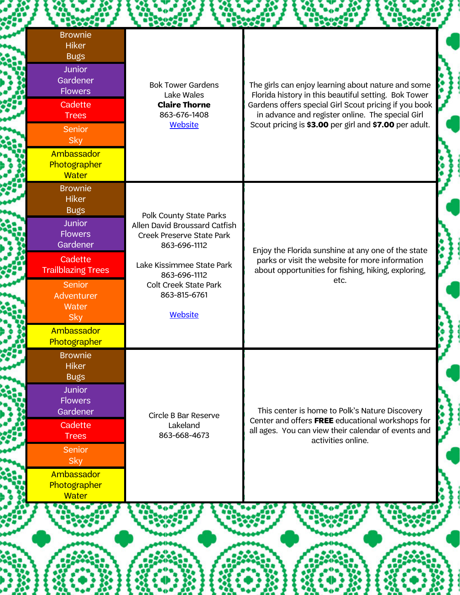| <b>RXXX</b>                                                                                                                                                                                                                              | <b>RACH</b>                                                                                                                                                                                                                 | $-23.357 -$ |                                                                                                                                                                                                                                                                                   |  |
|------------------------------------------------------------------------------------------------------------------------------------------------------------------------------------------------------------------------------------------|-----------------------------------------------------------------------------------------------------------------------------------------------------------------------------------------------------------------------------|-------------|-----------------------------------------------------------------------------------------------------------------------------------------------------------------------------------------------------------------------------------------------------------------------------------|--|
| <b>Brownie</b><br><b>Hiker</b><br><b>Bugs</b><br><b>Junior</b><br>Gardener<br><b>Flowers</b><br>Cadette<br><b>Trees</b><br><b>Senior</b><br><b>Sky</b><br>Ambassador<br>Photographer                                                     | <b>Bok Tower Gardens</b><br>Lake Wales<br><b>Claire Thorne</b><br>863-676-1408<br>Website                                                                                                                                   |             | The girls can enjoy learning about nature and some<br>Florida history in this beautiful setting. Bok Tower<br>Gardens offers special Girl Scout pricing if you book<br>in advance and register online. The special Girl<br>Scout pricing is \$3.00 per girl and \$7.00 per adult. |  |
| <b>Water</b><br><b>Brownie</b><br><b>Hiker</b><br><b>Bugs</b><br><b>Junior</b><br><b>Flowers</b><br>Gardener<br>Cadette<br><b>Trailblazing Trees</b><br><b>Senior</b><br>Adventurer<br>Water<br><b>Sky</b><br>Ambassador<br>Photographer | Polk County State Parks<br>Allen David Broussard Catfish<br><b>Creek Preserve State Park</b><br>863-696-1112<br>Lake Kissimmee State Park<br>863-696-1112<br><b>Colt Creek State Park</b><br>863-815-6761<br><b>Website</b> |             | Enjoy the Florida sunshine at any one of the state<br>parks or visit the website for more information<br>about opportunities for fishing, hiking, exploring,<br>etc.                                                                                                              |  |
| <b>Brownie</b><br><b>Hiker</b><br><b>Bugs</b><br><b>Junior</b><br><b>Flowers</b><br>Gardener<br>Cadette<br><b>Trees</b><br><b>Senior</b><br><b>Sky</b><br>Ambassador<br>Photographer<br><b>Water</b>                                     | Circle B Bar Reserve<br>Lakeland<br>863-668-4673                                                                                                                                                                            |             | This center is home to Polk's Nature Discovery<br>Center and offers FREE educational workshops for<br>all ages. You can view their calendar of events and<br>activities online.                                                                                                   |  |
|                                                                                                                                                                                                                                          |                                                                                                                                                                                                                             |             |                                                                                                                                                                                                                                                                                   |  |